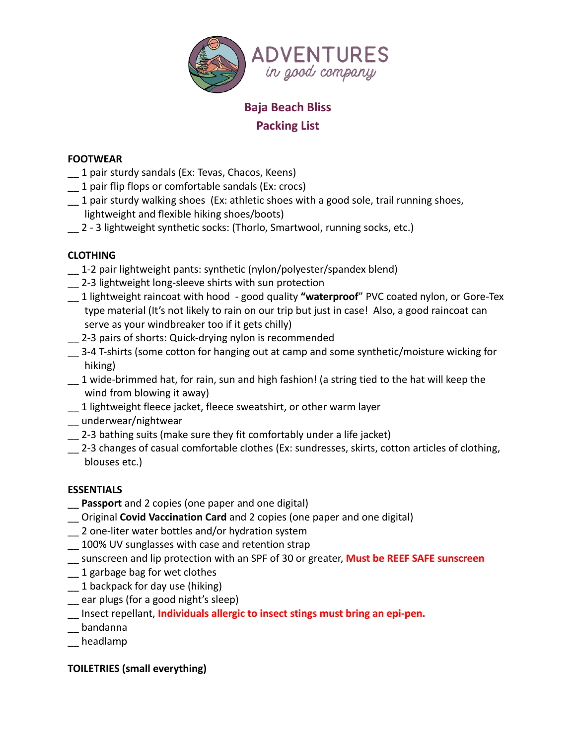

# **Baja Beach Bliss Packing List**

#### **FOOTWEAR**

- \_\_ 1 pair sturdy sandals (Ex: Tevas, Chacos, Keens)
- \_\_ 1 pair flip flops or comfortable sandals (Ex: crocs)
- \_\_ 1 pair sturdy walking shoes (Ex: athletic shoes with a good sole, trail running shoes, lightweight and flexible hiking shoes/boots)
- \_\_ 2 3 lightweight synthetic socks: (Thorlo, Smartwool, running socks, etc.)

## **CLOTHING**

- \_\_ 1-2 pair lightweight pants: synthetic (nylon/polyester/spandex blend)
- \_\_ 2-3 lightweight long-sleeve shirts with sun protection
- \_\_ 1 lightweight raincoat with hood good quality **"waterproof**" PVC coated nylon, or Gore-Tex type material (It's not likely to rain on our trip but just in case! Also, a good raincoat can serve as your windbreaker too if it gets chilly)
- 2-3 pairs of shorts: Quick-drying nylon is recommended
- \_\_ 3-4 T-shirts (some cotton for hanging out at camp and some synthetic/moisture wicking for hiking)
- \_\_ 1 wide-brimmed hat, for rain, sun and high fashion! (a string tied to the hat will keep the wind from blowing it away)
- \_\_ 1 lightweight fleece jacket, fleece sweatshirt, or other warm layer
- \_\_ underwear/nightwear
- \_\_ 2-3 bathing suits (make sure they fit comfortably under a life jacket)
- 2-3 changes of casual comfortable clothes (Ex: sundresses, skirts, cotton articles of clothing, blouses etc.)

### **ESSENTIALS**

- \_\_ **Passport** and 2 copies (one paper and one digital)
- \_\_ Original **Covid Vaccination Card** and 2 copies (one paper and one digital)
- \_\_ 2 one-liter water bottles and/or hydration system
- 100% UV sunglasses with case and retention strap
- \_\_ sunscreen and lip protection with an SPF of 30 or greater, **Must be REEF SAFE sunscreen**
- \_\_ 1 garbage bag for wet clothes
- \_\_ 1 backpack for day use (hiking)
- \_\_ ear plugs (for a good night's sleep)
- \_\_ Insect repellant, **Individuals allergic to insect stings must bring an epi-pen.**
- \_\_ bandanna
- \_\_ headlamp

### **TOILETRIES (small everything)**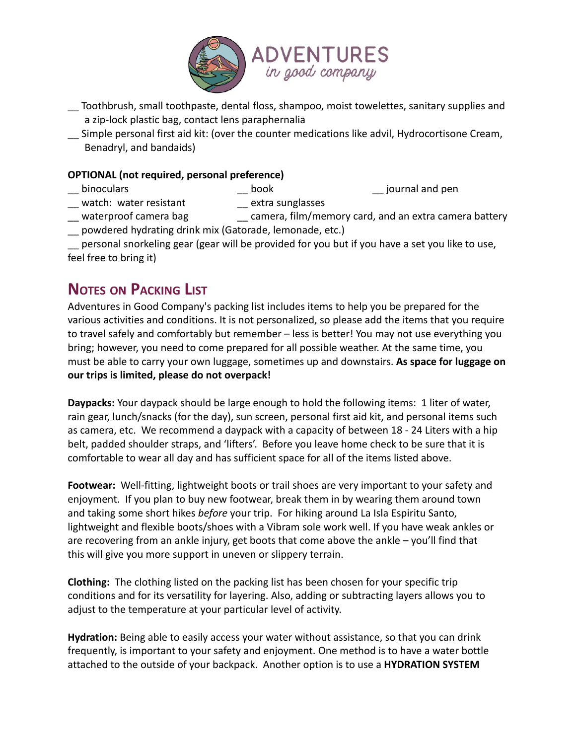

- \_\_ Toothbrush, small toothpaste, dental floss, shampoo, moist towelettes, sanitary supplies and a zip-lock plastic bag, contact lens paraphernalia
- \_\_ Simple personal first aid kit: (over the counter medications like advil, Hydrocortisone Cream, Benadryl, and bandaids)

#### **OPTIONAL (not required, personal preference)**

- \_\_ binoculars \_\_\_ book \_\_ journal and pen<br>\_\_ watch: water resistant \_\_ extra sunglasses
- $\equiv$  watch: water resistant
- \_\_ waterproof camera bag \_\_ camera, film/memory card, and an extra camera battery \_\_ powdered hydrating drink mix (Gatorade, lemonade, etc.)

personal snorkeling gear (gear will be provided for you but if you have a set you like to use, feel free to bring it)

# **NOTES ON PACKING LIST**

Adventures in Good Company's packing list includes items to help you be prepared for the various activities and conditions. It is not personalized, so please add the items that you require to travel safely and comfortably but remember – less is better! You may not use everything you bring; however, you need to come prepared for all possible weather. At the same time, you must be able to carry your own luggage, sometimes up and downstairs. **As space for luggage on our trips is limited, please do not overpack!**

**Daypacks:** Your daypack should be large enough to hold the following items: 1 liter of water, rain gear, lunch/snacks (for the day), sun screen, personal first aid kit, and personal items such as camera, etc. We recommend a daypack with a capacity of between 18 - 24 Liters with a hip belt, padded shoulder straps, and 'lifters'. Before you leave home check to be sure that it is comfortable to wear all day and has sufficient space for all of the items listed above.

**Footwear:** Well-fitting, lightweight boots or trail shoes are very important to your safety and enjoyment. If you plan to buy new footwear, break them in by wearing them around town and taking some short hikes *before* your trip. For hiking around La Isla Espiritu Santo, lightweight and flexible boots/shoes with a Vibram sole work well. If you have weak ankles or are recovering from an ankle injury, get boots that come above the ankle – you'll find that this will give you more support in uneven or slippery terrain.

**Clothing:** The clothing listed on the packing list has been chosen for your specific trip conditions and for its versatility for layering. Also, adding or subtracting layers allows you to adjust to the temperature at your particular level of activity.

**Hydration:** Being able to easily access your water without assistance, so that you can drink frequently, is important to your safety and enjoyment. One method is to have a water bottle attached to the outside of your backpack. Another option is to use a **HYDRATION SYSTEM**